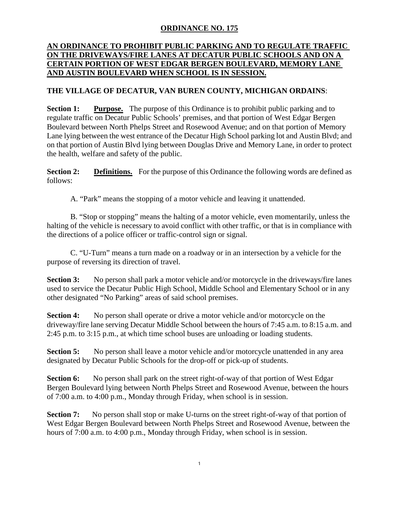## **ORDINANCE NO. 175**

## **AN ORDINANCE TO PROHIBIT PUBLIC PARKING AND TO REGULATE TRAFFIC ON THE DRIVEWAYS/FIRE LANES AT DECATUR PUBLIC SCHOOLS AND ON A CERTAIN PORTION OF WEST EDGAR BERGEN BOULEVARD, MEMORY LANE AND AUSTIN BOULEVARD WHEN SCHOOL IS IN SESSION.**

## **THE VILLAGE OF DECATUR, VAN BUREN COUNTY, MICHIGAN ORDAINS**:

**Section 1:** Purpose. The purpose of this Ordinance is to prohibit public parking and to regulate traffic on Decatur Public Schools' premises, and that portion of West Edgar Bergen Boulevard between North Phelps Street and Rosewood Avenue; and on that portion of Memory Lane lying between the west entrance of the Decatur High School parking lot and Austin Blvd; and on that portion of Austin Blvd lying between Douglas Drive and Memory Lane, in order to protect the health, welfare and safety of the public.

**Section 2: Definitions.** For the purpose of this Ordinance the following words are defined as follows:

A. "Park" means the stopping of a motor vehicle and leaving it unattended.

B. "Stop or stopping" means the halting of a motor vehicle, even momentarily, unless the halting of the vehicle is necessary to avoid conflict with other traffic, or that is in compliance with the directions of a police officer or traffic-control sign or signal.

C. "U-Turn" means a turn made on a roadway or in an intersection by a vehicle for the purpose of reversing its direction of travel.

**Section 3:** No person shall park a motor vehicle and/or motorcycle in the driveways/fire lanes used to service the Decatur Public High School, Middle School and Elementary School or in any other designated "No Parking" areas of said school premises.

**Section 4:** No person shall operate or drive a motor vehicle and/or motorcycle on the driveway/fire lane serving Decatur Middle School between the hours of 7:45 a.m. to 8:15 a.m. and 2:45 p.m. to 3:15 p.m., at which time school buses are unloading or loading students.

**Section 5:** No person shall leave a motor vehicle and/or motorcycle unattended in any area designated by Decatur Public Schools for the drop-off or pick-up of students.

**Section 6:** No person shall park on the street right-of-way of that portion of West Edgar Bergen Boulevard lying between North Phelps Street and Rosewood Avenue, between the hours of 7:00 a.m. to 4:00 p.m., Monday through Friday, when school is in session.

**Section 7:** No person shall stop or make U-turns on the street right-of-way of that portion of West Edgar Bergen Boulevard between North Phelps Street and Rosewood Avenue, between the hours of 7:00 a.m. to 4:00 p.m., Monday through Friday, when school is in session.